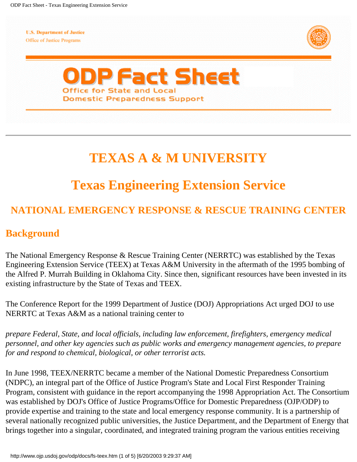**U.S. Department of Justice** Office of Justice Programs





# **TEXAS A & M UNIVERSITY**

# **Texas Engineering Extension Service**

## **NATIONAL EMERGENCY RESPONSE & RESCUE TRAINING CENTER**

#### **Background**

The National Emergency Response & Rescue Training Center (NERRTC) was established by the Texas Engineering Extension Service (TEEX) at Texas A&M University in the aftermath of the 1995 bombing of the Alfred P. Murrah Building in Oklahoma City. Since then, significant resources have been invested in its existing infrastructure by the State of Texas and TEEX.

The Conference Report for the 1999 Department of Justice (DOJ) Appropriations Act urged DOJ to use NERRTC at Texas A&M as a national training center to

*prepare Federal, State, and local officials, including law enforcement, firefighters, emergency medical personnel, and other key agencies such as public works and emergency management agencies, to prepare for and respond to chemical, biological, or other terrorist acts.*

In June 1998, TEEX/NERRTC became a member of the National Domestic Preparedness Consortium (NDPC), an integral part of the Office of Justice Program's State and Local First Responder Training Program, consistent with guidance in the report accompanying the 1998 Appropriation Act. The Consortium was established by DOJ's Office of Justice Programs/Office for Domestic Preparedness (OJP/ODP) to provide expertise and training to the state and local emergency response community. It is a partnership of several nationally recognized public universities, the Justice Department, and the Department of Energy that brings together into a singular, coordinated, and integrated training program the various entities receiving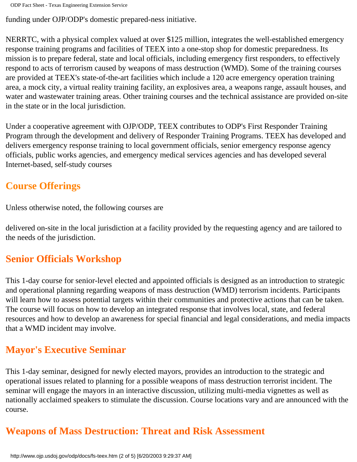funding under OJP/ODP's domestic prepared-ness initiative.

NERRTC, with a physical complex valued at over \$125 million, integrates the well-established emergency response training programs and facilities of TEEX into a one-stop shop for domestic preparedness. Its mission is to prepare federal, state and local officials, including emergency first responders, to effectively respond to acts of terrorism caused by weapons of mass destruction (WMD). Some of the training courses are provided at TEEX's state-of-the-art facilities which include a 120 acre emergency operation training area, a mock city, a virtual reality training facility, an explosives area, a weapons range, assault houses, and water and wastewater training areas. Other training courses and the technical assistance are provided on-site in the state or in the local jurisdiction.

Under a cooperative agreement with OJP/ODP, TEEX contributes to ODP's First Responder Training Program through the development and delivery of Responder Training Programs. TEEX has developed and delivers emergency response training to local government officials, senior emergency response agency officials, public works agencies, and emergency medical services agencies and has developed several Internet-based, self-study courses

#### **Course Offerings**

Unless otherwise noted, the following courses are

delivered on-site in the local jurisdiction at a facility provided by the requesting agency and are tailored to the needs of the jurisdiction.

#### **Senior Officials Workshop**

This 1-day course for senior-level elected and appointed officials is designed as an introduction to strategic and operational planning regarding weapons of mass destruction (WMD) terrorism incidents. Participants will learn how to assess potential targets within their communities and protective actions that can be taken. The course will focus on how to develop an integrated response that involves local, state, and federal resources and how to develop an awareness for special financial and legal considerations, and media impacts that a WMD incident may involve.

### **Mayor's Executive Seminar**

This 1-day seminar, designed for newly elected mayors, provides an introduction to the strategic and operational issues related to planning for a possible weapons of mass destruction terrorist incident. The seminar will engage the mayors in an interactive discussion, utilizing multi-media vignettes as well as nationally acclaimed speakers to stimulate the discussion. Course locations vary and are announced with the course.

# **Weapons of Mass Destruction: Threat and Risk Assessment**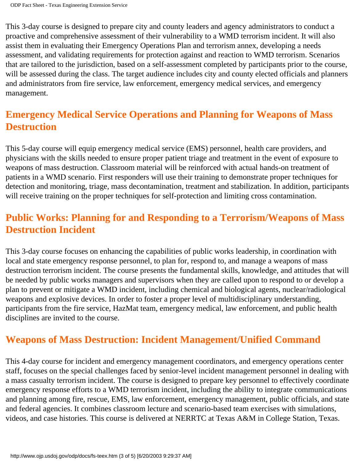This 3-day course is designed to prepare city and county leaders and agency administrators to conduct a proactive and comprehensive assessment of their vulnerability to a WMD terrorism incident. It will also assist them in evaluating their Emergency Operations Plan and terrorism annex, developing a needs assessment, and validating requirements for protection against and reaction to WMD terrorism. Scenarios that are tailored to the jurisdiction, based on a self-assessment completed by participants prior to the course, will be assessed during the class. The target audience includes city and county elected officials and planners and administrators from fire service, law enforcement, emergency medical services, and emergency management.

### **Emergency Medical Service Operations and Planning for Weapons of Mass Destruction**

This 5-day course will equip emergency medical service (EMS) personnel, health care providers, and physicians with the skills needed to ensure proper patient triage and treatment in the event of exposure to weapons of mass destruction. Classroom material will be reinforced with actual hands-on treatment of patients in a WMD scenario. First responders will use their training to demonstrate proper techniques for detection and monitoring, triage, mass decontamination, treatment and stabilization. In addition, participants will receive training on the proper techniques for self-protection and limiting cross contamination.

#### **Public Works: Planning for and Responding to a Terrorism/Weapons of Mass Destruction Incident**

This 3-day course focuses on enhancing the capabilities of public works leadership, in coordination with local and state emergency response personnel, to plan for, respond to, and manage a weapons of mass destruction terrorism incident. The course presents the fundamental skills, knowledge, and attitudes that will be needed by public works managers and supervisors when they are called upon to respond to or develop a plan to prevent or mitigate a WMD incident, including chemical and biological agents, nuclear/radiological weapons and explosive devices. In order to foster a proper level of multidisciplinary understanding, participants from the fire service, HazMat team, emergency medical, law enforcement, and public health disciplines are invited to the course.

#### **Weapons of Mass Destruction: Incident Management/Unified Command**

This 4-day course for incident and emergency management coordinators, and emergency operations center staff, focuses on the special challenges faced by senior-level incident management personnel in dealing with a mass casualty terrorism incident. The course is designed to prepare key personnel to effectively coordinate emergency response efforts to a WMD terrorism incident, including the ability to integrate communications and planning among fire, rescue, EMS, law enforcement, emergency management, public officials, and state and federal agencies. It combines classroom lecture and scenario-based team exercises with simulations, videos, and case histories. This course is delivered at NERRTC at Texas A&M in College Station, Texas.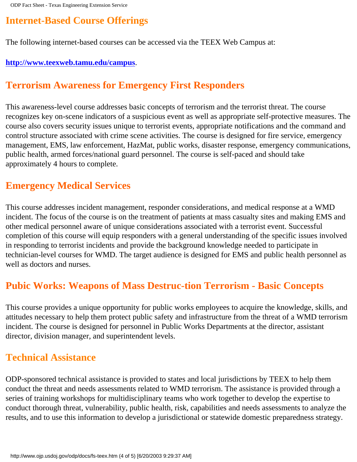### **Internet-Based Course Offerings**

The following internet-based courses can be accessed via the TEEX Web Campus at:

#### **[http://www.teexweb.tamu.edu/campus](http://teexweb.tamu.edu/)**.

#### **Terrorism Awareness for Emergency First Responders**

This awareness-level course addresses basic concepts of terrorism and the terrorist threat. The course recognizes key on-scene indicators of a suspicious event as well as appropriate self-protective measures. The course also covers security issues unique to terrorist events, appropriate notifications and the command and control structure associated with crime scene activities. The course is designed for fire service, emergency management, EMS, law enforcement, HazMat, public works, disaster response, emergency communications, public health, armed forces/national guard personnel. The course is self-paced and should take approximately 4 hours to complete.

#### **Emergency Medical Services**

This course addresses incident management, responder considerations, and medical response at a WMD incident. The focus of the course is on the treatment of patients at mass casualty sites and making EMS and other medical personnel aware of unique considerations associated with a terrorist event. Successful completion of this course will equip responders with a general understanding of the specific issues involved in responding to terrorist incidents and provide the background knowledge needed to participate in technician-level courses for WMD. The target audience is designed for EMS and public health personnel as well as doctors and nurses.

#### **Pubic Works: Weapons of Mass Destruc-tion Terrorism - Basic Concepts**

This course provides a unique opportunity for public works employees to acquire the knowledge, skills, and attitudes necessary to help them protect public safety and infrastructure from the threat of a WMD terrorism incident. The course is designed for personnel in Public Works Departments at the director, assistant director, division manager, and superintendent levels.

#### **Technical Assistance**

ODP-sponsored technical assistance is provided to states and local jurisdictions by TEEX to help them conduct the threat and needs assessments related to WMD terrorism. The assistance is provided through a series of training workshops for multidisciplinary teams who work together to develop the expertise to conduct thorough threat, vulnerability, public health, risk, capabilities and needs assessments to analyze the results, and to use this information to develop a jurisdictional or statewide domestic preparedness strategy.